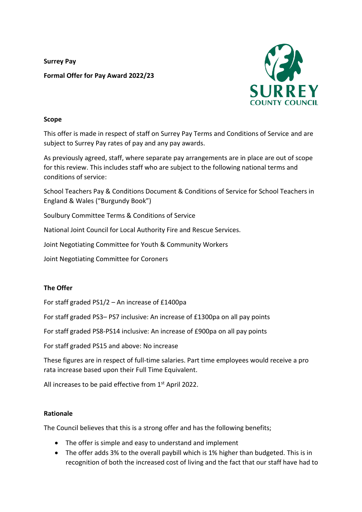**Surrey Pay Formal Offer for Pay Award 2022/23**



## **Scope**

This offer is made in respect of staff on Surrey Pay Terms and Conditions of Service and are subject to Surrey Pay rates of pay and any pay awards.

As previously agreed, staff, where separate pay arrangements are in place are out of scope for this review. This includes staff who are subject to the following national terms and conditions of service:

School Teachers Pay & Conditions Document & Conditions of Service for School Teachers in England & Wales ("Burgundy Book")

Soulbury Committee Terms & Conditions of Service

National Joint Council for Local Authority Fire and Rescue Services.

Joint Negotiating Committee for Youth & Community Workers

Joint Negotiating Committee for Coroners

## **The Offer**

For staff graded PS1/2 – An increase of £1400pa

For staff graded PS3– PS7 inclusive: An increase of £1300pa on all pay points

For staff graded PS8-PS14 inclusive: An increase of £900pa on all pay points

For staff graded PS15 and above: No increase

These figures are in respect of full-time salaries. Part time employees would receive a pro rata increase based upon their Full Time Equivalent.

All increases to be paid effective from  $1<sup>st</sup>$  April 2022.

## **Rationale**

The Council believes that this is a strong offer and has the following benefits;

- The offer is simple and easy to understand and implement
- The offer adds 3% to the overall paybill which is 1% higher than budgeted. This is in recognition of both the increased cost of living and the fact that our staff have had to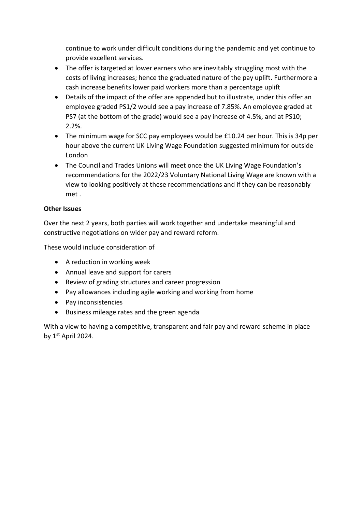continue to work under difficult conditions during the pandemic and yet continue to provide excellent services.

- The offer is targeted at lower earners who are inevitably struggling most with the costs of living increases; hence the graduated nature of the pay uplift. Furthermore a cash increase benefits lower paid workers more than a percentage uplift
- Details of the impact of the offer are appended but to illustrate, under this offer an employee graded PS1/2 would see a pay increase of 7.85%. An employee graded at PS7 (at the bottom of the grade) would see a pay increase of 4.5%, and at PS10; 2.2%.
- The minimum wage for SCC pay employees would be £10.24 per hour. This is 34p per hour above the current UK Living Wage Foundation suggested minimum for outside London
- The Council and Trades Unions will meet once the UK Living Wage Foundation's recommendations for the 2022/23 Voluntary National Living Wage are known with a view to looking positively at these recommendations and if they can be reasonably met .

## **Other Issues**

Over the next 2 years, both parties will work together and undertake meaningful and constructive negotiations on wider pay and reward reform.

These would include consideration of

- A reduction in working week
- Annual leave and support for carers
- Review of grading structures and career progression
- Pay allowances including agile working and working from home
- Pay inconsistencies
- Business mileage rates and the green agenda

With a view to having a competitive, transparent and fair pay and reward scheme in place by 1st April 2024.